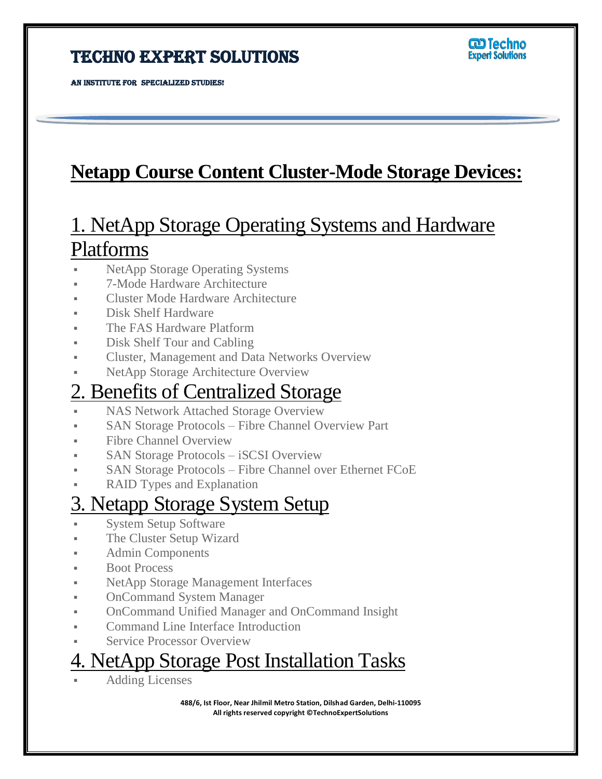#### Techno Expert Solutions

AN INSTITUTE FOR SPECIALIZED STUDIES!

Ī

# **Netapp Course Content Cluster-Mode Storage Devices:**

# 1. NetApp Storage Operating Systems and Hardware Platforms

- NetApp Storage Operating Systems
- 7-Mode Hardware Architecture
- Cluster Mode Hardware Architecture
- Disk Shelf Hardware
- The FAS Hardware Platform
- Disk Shelf Tour and Cabling
- Cluster, Management and Data Networks Overview
- NetApp Storage Architecture Overview

# 2. Benefits of Centralized Storage

- NAS Network Attached Storage Overview
- SAN Storage Protocols Fibre Channel Overview Part
- Fibre Channel Overview
- SAN Storage Protocols iSCSI Overview
- SAN Storage Protocols Fibre Channel over Ethernet FCoE
- **RAID Types and Explanation**

#### 3. Netapp Storage System Setup

- System Setup Software
- The Cluster Setup Wizard
- Admin Components
- Boot Process
- NetApp Storage Management Interfaces
- OnCommand System Manager
- OnCommand Unified Manager and OnCommand Insight
- Command Line Interface Introduction
- Service Processor Overview

## 4. NetApp Storage Post Installation Tasks

Adding Licenses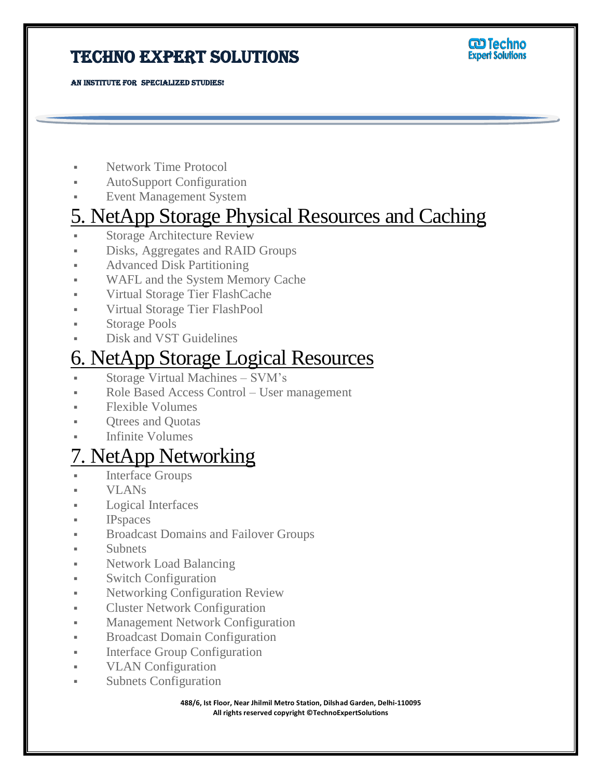#### TECHNO EXPERT SOLUTIONS



AN INSTITUTE FOR SPECIALIZED STUDIES!

Ī

- Network Time Protocol
- AutoSupport Configuration
- Event Management System

# 5. NetApp Storage Physical Resources and Caching

- Storage Architecture Review
- Disks, Aggregates and RAID Groups
- **Advanced Disk Partitioning**
- WAFL and the System Memory Cache
- Virtual Storage Tier FlashCache
- Virtual Storage Tier FlashPool
- Storage Pools
- Disk and VST Guidelines

# 6. NetApp Storage Logical Resources

- Storage Virtual Machines SVM's
- Role Based Access Control User management
- Flexible Volumes
- Qtrees and Quotas
- Infinite Volumes

# 7. NetApp Networking

- Interface Groups
- VLANs
- Logical Interfaces
- IPspaces
- Broadcast Domains and Failover Groups
- Subnets
- **Network Load Balancing**
- Switch Configuration
- **Networking Configuration Review**
- **Cluster Network Configuration**
- Management Network Configuration
- **Broadcast Domain Configuration**
- **Interface Group Configuration**
- **VLAN** Configuration
- Subnets Configuration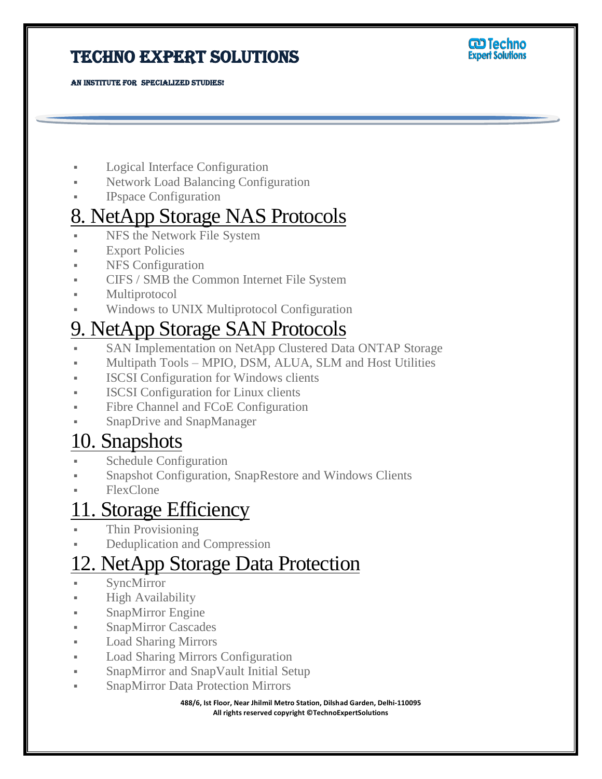#### Techno Expert Solutions



AN INSTITUTE FOR SPECIALIZED STUDIES!

- Logical Interface Configuration
- Network Load Balancing Configuration
- IPspace Configuration

## 8. NetApp Storage NAS Protocols

- NFS the Network File System
- **Export Policies**

Ī

- NFS Configuration
- CIFS / SMB the Common Internet File System
- **Multiprotocol**
- Windows to UNIX Multiprotocol Configuration

# 9. NetApp Storage SAN Protocols

- SAN Implementation on NetApp Clustered Data ONTAP Storage
- Multipath Tools MPIO, DSM, ALUA, SLM and Host Utilities
- ISCSI Configuration for Windows clients
- ISCSI Configuration for Linux clients
- Fibre Channel and FCoE Configuration
- SnapDrive and SnapManager

# 10. Snapshots

- Schedule Configuration
- Snapshot Configuration, SnapRestore and Windows Clients
- FlexClone

# 11. Storage Efficiency

- Thin Provisioning
- Deduplication and Compression

# 12. NetApp Storage Data Protection

- SyncMirror
- High Availability
- SnapMirror Engine
- SnapMirror Cascades
- Load Sharing Mirrors
- Load Sharing Mirrors Configuration
- **SnapMirror and SnapVault Initial Setup**
- SnapMirror Data Protection Mirrors